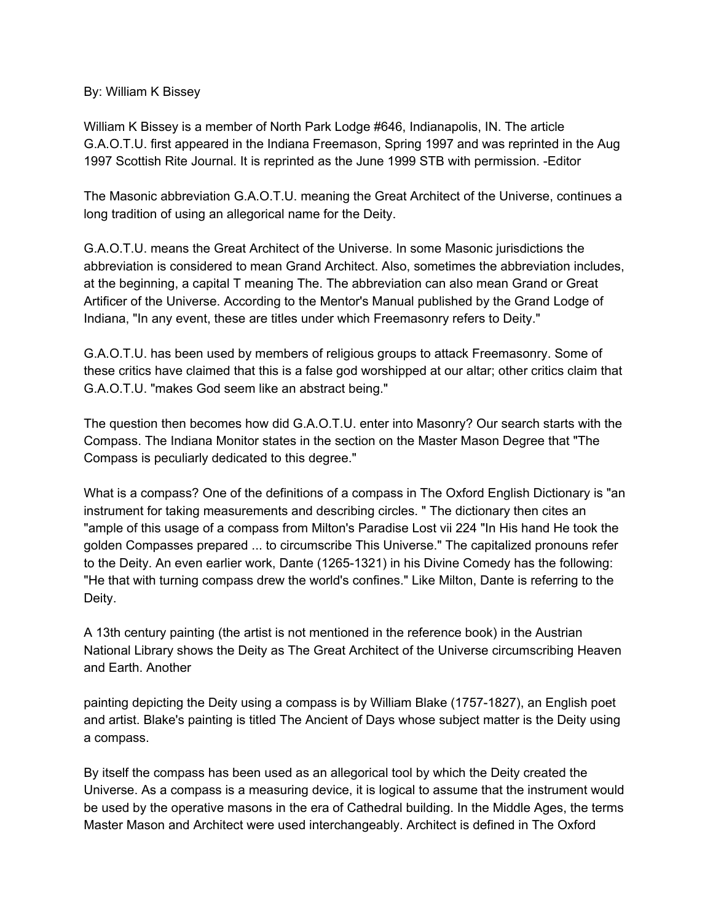By: William K Bissey

William K Bissey is a member of North Park Lodge #646, Indianapolis, IN. The article G.A.O.T.U. first appeared in the Indiana Freemason, Spring 1997 and was reprinted in the Aug 1997 Scottish Rite Journal. It is reprinted as the June 1999 STB with permission. -Editor

The Masonic abbreviation G.A.O.T.U. meaning the Great Architect of the Universe, continues a long tradition of using an allegorical name for the Deity.

G.A.O.T.U. means the Great Architect of the Universe. In some Masonic jurisdictions the abbreviation is considered to mean Grand Architect. Also, sometimes the abbreviation includes, at the beginning, a capital T meaning The. The abbreviation can also mean Grand or Great Artificer of the Universe. According to the Mentor's Manual published by the Grand Lodge of Indiana, "In any event, these are titles under which Freemasonry refers to Deity."

G.A.O.T.U. has been used by members of religious groups to attack Freemasonry. Some of these critics have claimed that this is a false god worshipped at our altar; other critics claim that G.A.O.T.U. "makes God seem like an abstract being."

The question then becomes how did G.A.O.T.U. enter into Masonry? Our search starts with the Compass. The Indiana Monitor states in the section on the Master Mason Degree that "The Compass is peculiarly dedicated to this degree."

What is a compass? One of the definitions of a compass in The Oxford English Dictionary is "an instrument for taking measurements and describing circles. " The dictionary then cites an "ample of this usage of a compass from Milton's Paradise Lost vii 224 "In His hand He took the golden Compasses prepared ... to circumscribe This Universe." The capitalized pronouns refer to the Deity. An even earlier work, Dante (1265-1321) in his Divine Comedy has the following: "He that with turning compass drew the world's confines." Like Milton, Dante is referring to the Deity.

A 13th century painting (the artist is not mentioned in the reference book) in the Austrian National Library shows the Deity as The Great Architect of the Universe circumscribing Heaven and Earth. Another

painting depicting the Deity using a compass is by William Blake (1757-1827), an English poet and artist. Blake's painting is titled The Ancient of Days whose subject matter is the Deity using a compass.

By itself the compass has been used as an allegorical tool by which the Deity created the Universe. As a compass is a measuring device, it is logical to assume that the instrument would be used by the operative masons in the era of Cathedral building. In the Middle Ages, the terms Master Mason and Architect were used interchangeably. Architect is defined in The Oxford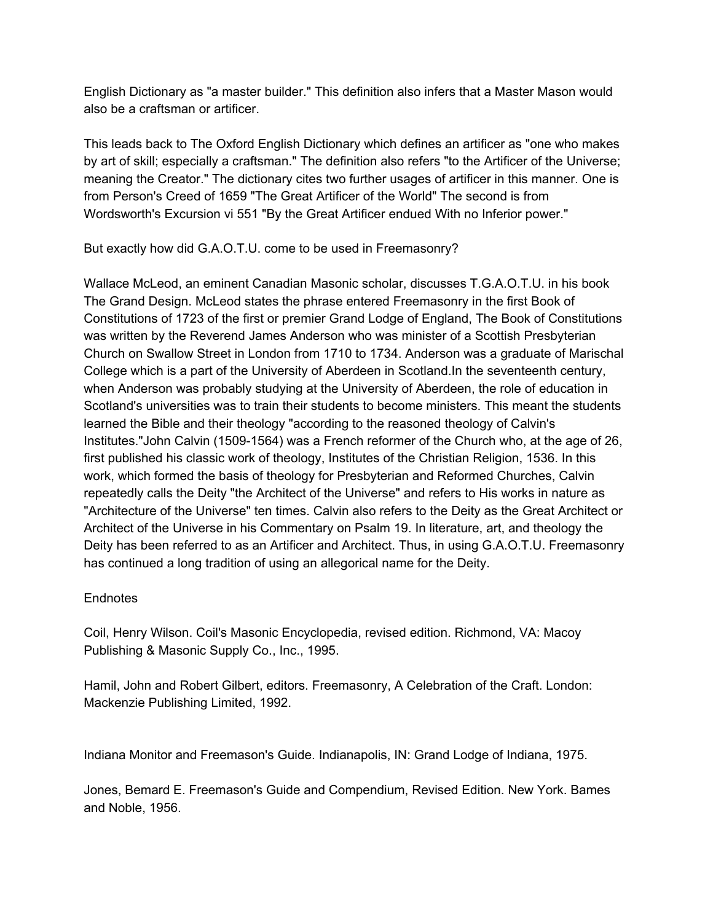English Dictionary as "a master builder." This definition also infers that a Master Mason would also be a craftsman or artificer.

This leads back to The Oxford English Dictionary which defines an artificer as "one who makes by art of skill; especially a craftsman." The definition also refers "to the Artificer of the Universe; meaning the Creator." The dictionary cites two further usages of artificer in this manner. One is from Person's Creed of 1659 "The Great Artificer of the World" The second is from Wordsworth's Excursion vi 551 "By the Great Artificer endued With no Inferior power."

But exactly how did G.A.O.T.U. come to be used in Freemasonry?

Wallace McLeod, an eminent Canadian Masonic scholar, discusses T.G.A.O.T.U. in his book The Grand Design. McLeod states the phrase entered Freemasonry in the first Book of Constitutions of 1723 of the first or premier Grand Lodge of England, The Book of Constitutions was written by the Reverend James Anderson who was minister of a Scottish Presbyterian Church on Swallow Street in London from 1710 to 1734. Anderson was a graduate of Marischal College which is a part of the University of Aberdeen in Scotland.In the seventeenth century, when Anderson was probably studying at the University of Aberdeen, the role of education in Scotland's universities was to train their students to become ministers. This meant the students learned the Bible and their theology "according to the reasoned theology of Calvin's Institutes."John Calvin (1509-1564) was a French reformer of the Church who, at the age of 26, first published his classic work of theology, Institutes of the Christian Religion, 1536. In this work, which formed the basis of theology for Presbyterian and Reformed Churches, Calvin repeatedly calls the Deity "the Architect of the Universe" and refers to His works in nature as "Architecture of the Universe" ten times. Calvin also refers to the Deity as the Great Architect or Architect of the Universe in his Commentary on Psalm 19. In literature, art, and theology the Deity has been referred to as an Artificer and Architect. Thus, in using G.A.O.T.U. Freemasonry has continued a long tradition of using an allegorical name for the Deity.

## **Endnotes**

Coil, Henry Wilson. Coil's Masonic Encyclopedia, revised edition. Richmond, VA: Macoy Publishing & Masonic Supply Co., Inc., 1995.

Hamil, John and Robert Gilbert, editors. Freemasonry, A Celebration of the Craft. London: Mackenzie Publishing Limited, 1992.

Indiana Monitor and Freemason's Guide. Indianapolis, IN: Grand Lodge of Indiana, 1975.

Jones, Bemard E. Freemason's Guide and Compendium, Revised Edition. New York. Bames and Noble, 1956.